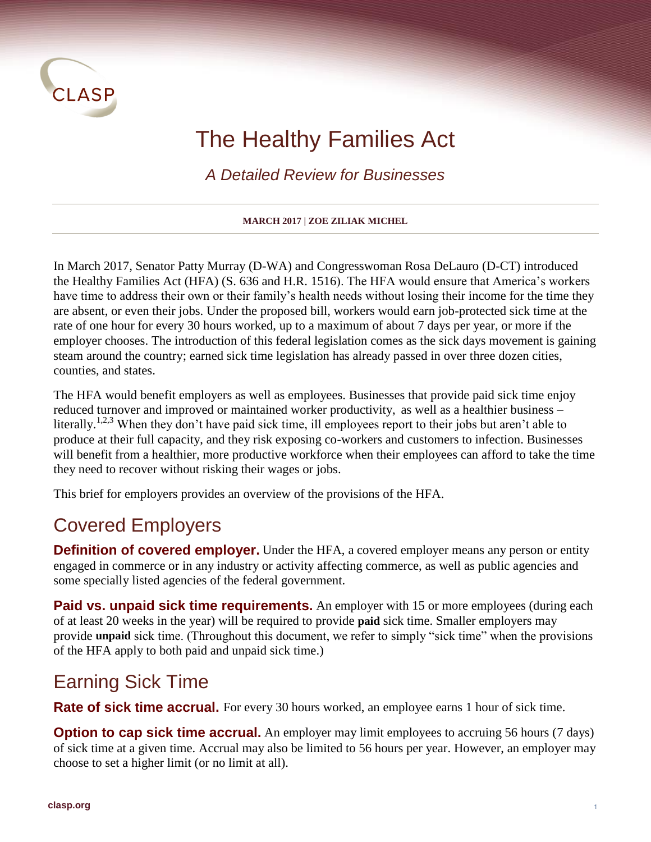

# The Healthy Families Act

*A Detailed Review for Businesses*

**MARCH 2017 | ZOE ZILIAK MICHEL**

In March 2017, Senator Patty Murray (D-WA) and Congresswoman Rosa DeLauro (D-CT) introduced the Healthy Families Act (HFA) (S. 636 and H.R. 1516). The HFA would ensure that America's workers have time to address their own or their family's health needs without losing their income for the time they are absent, or even their jobs. Under the proposed bill, workers would earn job-protected sick time at the rate of one hour for every 30 hours worked, up to a maximum of about 7 days per year, or more if the employer chooses. The introduction of this federal legislation comes as the sick days movement is gaining steam around the country; earned sick time legislation has already passed in over three dozen cities, counties, and states.

The HFA would benefit employers as well as employees. Businesses that provide paid sick time enjoy reduced turnover and improved or maintained worker productivity, as well as a healthier business – literally.<sup>1,2,3</sup> When they don't have paid sick time, ill employees report to their jobs but aren't able to produce at their full capacity, and they risk exposing co-workers and customers to infection. Businesses will benefit from a healthier, more productive workforce when their employees can afford to take the time they need to recover without risking their wages or jobs.

This brief for employers provides an overview of the provisions of the HFA.

## Covered Employers

**Definition of covered employer.** Under the HFA, a covered employer means any person or entity engaged in commerce or in any industry or activity affecting commerce, as well as public agencies and some specially listed agencies of the federal government.

**Paid vs. unpaid sick time requirements.** An employer with 15 or more employees (during each of at least 20 weeks in the year) will be required to provide **paid** sick time. Smaller employers may provide **unpaid** sick time. (Throughout this document, we refer to simply "sick time" when the provisions of the HFA apply to both paid and unpaid sick time.)

## Earning Sick Time

**Rate of sick time accrual.** For every 30 hours worked, an employee earns 1 hour of sick time.

**Option to cap sick time accrual.** An employer may limit employees to accruing 56 hours (7 days) of sick time at a given time. Accrual may also be limited to 56 hours per year. However, an employer may choose to set a higher limit (or no limit at all).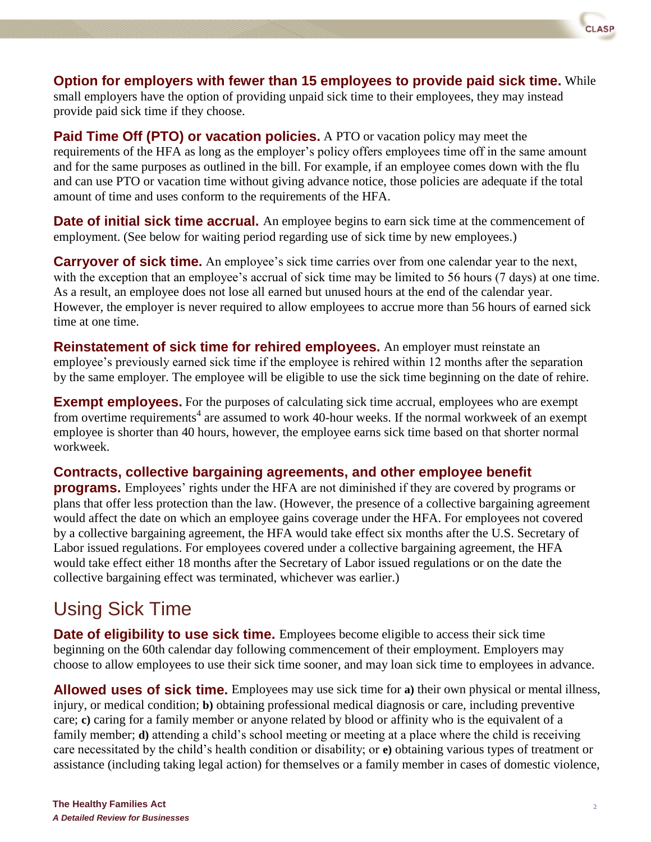**Option for employers with fewer than 15 employees to provide paid sick time.** While small employers have the option of providing unpaid sick time to their employees, they may instead provide paid sick time if they choose.

**Paid Time Off (PTO) or vacation policies.** A PTO or vacation policy may meet the requirements of the HFA as long as the employer's policy offers employees time off in the same amount and for the same purposes as outlined in the bill. For example, if an employee comes down with the flu and can use PTO or vacation time without giving advance notice, those policies are adequate if the total amount of time and uses conform to the requirements of the HFA.

**Date of initial sick time accrual.** An employee begins to earn sick time at the commencement of employment. (See below for waiting period regarding use of sick time by new employees.)

**Carryover of sick time.** An employee's sick time carries over from one calendar year to the next, with the exception that an employee's accrual of sick time may be limited to 56 hours (7 days) at one time. As a result, an employee does not lose all earned but unused hours at the end of the calendar year. However, the employer is never required to allow employees to accrue more than 56 hours of earned sick time at one time.

**Reinstatement of sick time for rehired employees.** An employer must reinstate an employee's previously earned sick time if the employee is rehired within 12 months after the separation by the same employer. The employee will be eligible to use the sick time beginning on the date of rehire.

**Exempt employees.** For the purposes of calculating sick time accrual, employees who are exempt from overtime requirements<sup>4</sup> are assumed to work 40-hour weeks. If the normal workweek of an exempt employee is shorter than 40 hours, however, the employee earns sick time based on that shorter normal workweek.

#### **Contracts, collective bargaining agreements, and other employee benefit**

**programs.** Employees' rights under the HFA are not diminished if they are covered by programs or plans that offer less protection than the law. (However, the presence of a collective bargaining agreement would affect the date on which an employee gains coverage under the HFA. For employees not covered by a collective bargaining agreement, the HFA would take effect six months after the U.S. Secretary of Labor issued regulations. For employees covered under a collective bargaining agreement, the HFA would take effect either 18 months after the Secretary of Labor issued regulations or on the date the collective bargaining effect was terminated, whichever was earlier.)

## Using Sick Time

**Date of eligibility to use sick time.** Employees become eligible to access their sick time beginning on the 60th calendar day following commencement of their employment. Employers may choose to allow employees to use their sick time sooner, and may loan sick time to employees in advance.

**Allowed uses of sick time.** Employees may use sick time for **a)** their own physical or mental illness, injury, or medical condition; **b)** obtaining professional medical diagnosis or care, including preventive care; **c)** caring for a family member or anyone related by blood or affinity who is the equivalent of a family member; **d)** attending a child's school meeting or meeting at a place where the child is receiving care necessitated by the child's health condition or disability; or **e)** obtaining various types of treatment or assistance (including taking legal action) for themselves or a family member in cases of domestic violence,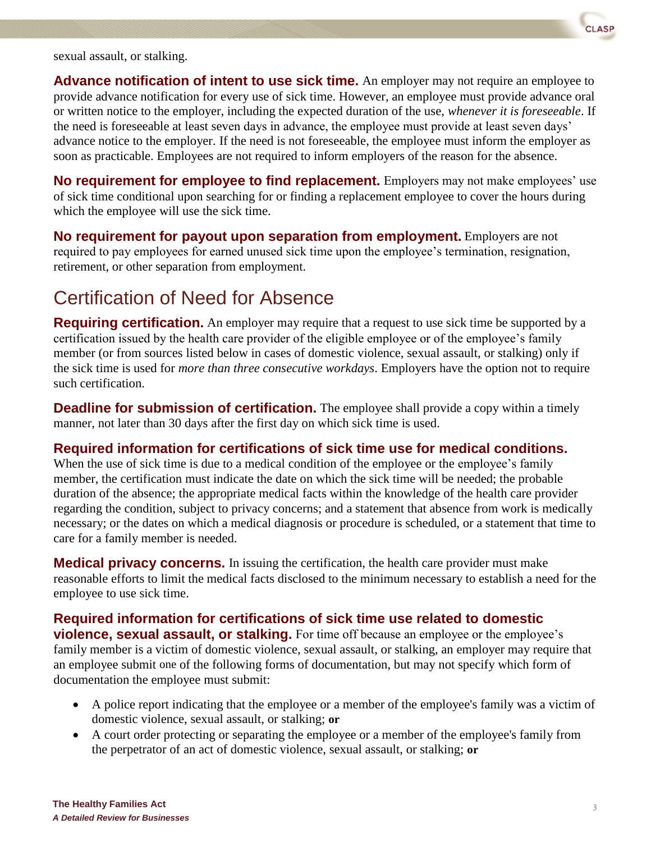

sexual assault, or stalking.

**Advance notification of intent to use sick time.** An employer may not require an employee to provide advance notification for every use of sick time. However, an employee must provide advance oral or written notice to the employer, including the expected duration of the use, *whenever it is foreseeable*. If the need is foreseeable at least seven days in advance, the employee must provide at least seven days' advance notice to the employer. If the need is not foreseeable, the employee must inform the employer as soon as practicable. Employees are not required to inform employers of the reason for the absence.

**No requirement for employee to find replacement.** Employers may not make employees' use of sick time conditional upon searching for or finding a replacement employee to cover the hours during which the employee will use the sick time.

**No requirement for payout upon separation from employment.** Employers are not required to pay employees for earned unused sick time upon the employee's termination, resignation, retirement, or other separation from employment.

### Certification of Need for Absence

**Requiring certification.** An employer may require that a request to use sick time be supported by a certification issued by the health care provider of the eligible employee or of the employee's family member (or from sources listed below in cases of domestic violence, sexual assault, or stalking) only if the sick time is used for *more than three consecutive workdays*. Employers have the option not to require such certification.

**Deadline for submission of certification.** The employee shall provide a copy within a timely manner, not later than 30 days after the first day on which sick time is used.

#### **Required information for certifications of sick time use for medical conditions.**

When the use of sick time is due to a medical condition of the employee or the employee's family member, the certification must indicate the date on which the sick time will be needed; the probable duration of the absence; the appropriate medical facts within the knowledge of the health care provider regarding the condition, subject to privacy concerns; and a statement that absence from work is medically necessary; or the dates on which a medical diagnosis or procedure is scheduled, or a statement that time to care for a family member is needed.

**Medical privacy concerns.** In issuing the certification, the health care provider must make reasonable efforts to limit the medical facts disclosed to the minimum necessary to establish a need for the employee to use sick time.

**Required information for certifications of sick time use related to domestic violence, sexual assault, or stalking.** For time off because an employee or the employee's family member is a victim of domestic violence, sexual assault, or stalking, an employer may require that an employee submit one of the following forms of documentation, but may not specify which form of documentation the employee must submit:

- A police report indicating that the employee or a member of the employee's family was a victim of domestic violence, sexual assault, or stalking; **or**
- A court order protecting or separating the employee or a member of the employee's family from the perpetrator of an act of domestic violence, sexual assault, or stalking; **or**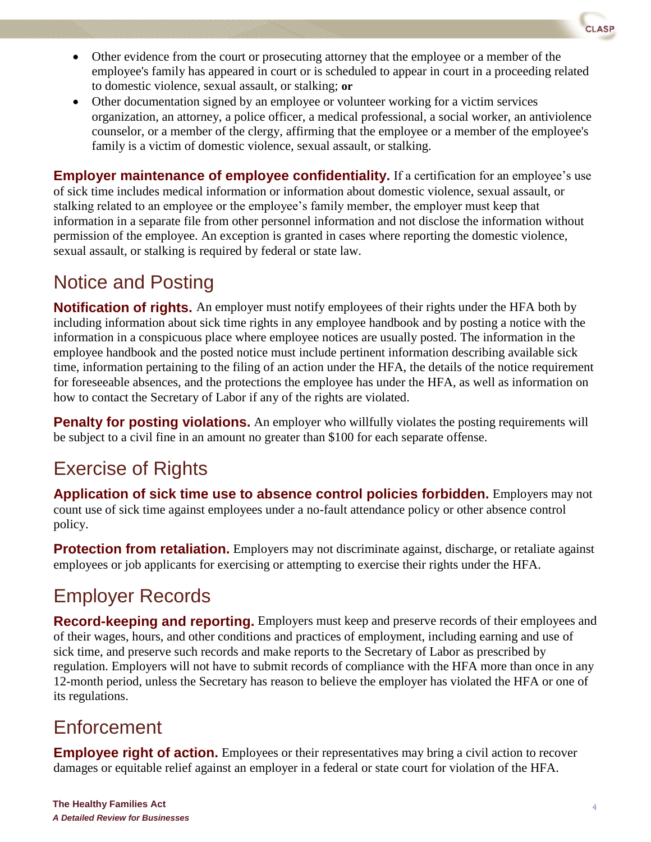- Other evidence from the court or prosecuting attorney that the employee or a member of the employee's family has appeared in court or is scheduled to appear in court in a proceeding related to domestic violence, sexual assault, or stalking; **or**
- Other documentation signed by an employee or volunteer working for a victim services organization, an attorney, a police officer, a medical professional, a social worker, an antiviolence counselor, or a member of the clergy, affirming that the employee or a member of the employee's family is a victim of domestic violence, sexual assault, or stalking.

**Employer maintenance of employee confidentiality.** If a certification for an employee's use of sick time includes medical information or information about domestic violence, sexual assault, or stalking related to an employee or the employee's family member, the employer must keep that information in a separate file from other personnel information and not disclose the information without permission of the employee. An exception is granted in cases where reporting the domestic violence, sexual assault, or stalking is required by federal or state law.

## Notice and Posting

**Notification of rights.** An employer must notify employees of their rights under the HFA both by including information about sick time rights in any employee handbook and by posting a notice with the information in a conspicuous place where employee notices are usually posted. The information in the employee handbook and the posted notice must include pertinent information describing available sick time, information pertaining to the filing of an action under the HFA, the details of the notice requirement for foreseeable absences, and the protections the employee has under the HFA, as well as information on how to contact the Secretary of Labor if any of the rights are violated.

**Penalty for posting violations.** An employer who willfully violates the posting requirements will be subject to a civil fine in an amount no greater than \$100 for each separate offense.

## Exercise of Rights

**Application of sick time use to absence control policies forbidden.** Employers may not count use of sick time against employees under a no-fault attendance policy or other absence control policy.

**Protection from retaliation.** Employers may not discriminate against, discharge, or retaliate against employees or job applicants for exercising or attempting to exercise their rights under the HFA.

## Employer Records

**Record-keeping and reporting.** Employers must keep and preserve records of their employees and of their wages, hours, and other conditions and practices of employment, including earning and use of sick time, and preserve such records and make reports to the Secretary of Labor as prescribed by regulation. Employers will not have to submit records of compliance with the HFA more than once in any 12-month period, unless the Secretary has reason to believe the employer has violated the HFA or one of its regulations.

## **Enforcement**

**Employee right of action.** Employees or their representatives may bring a civil action to recover damages or equitable relief against an employer in a federal or state court for violation of the HFA.

**ASP**